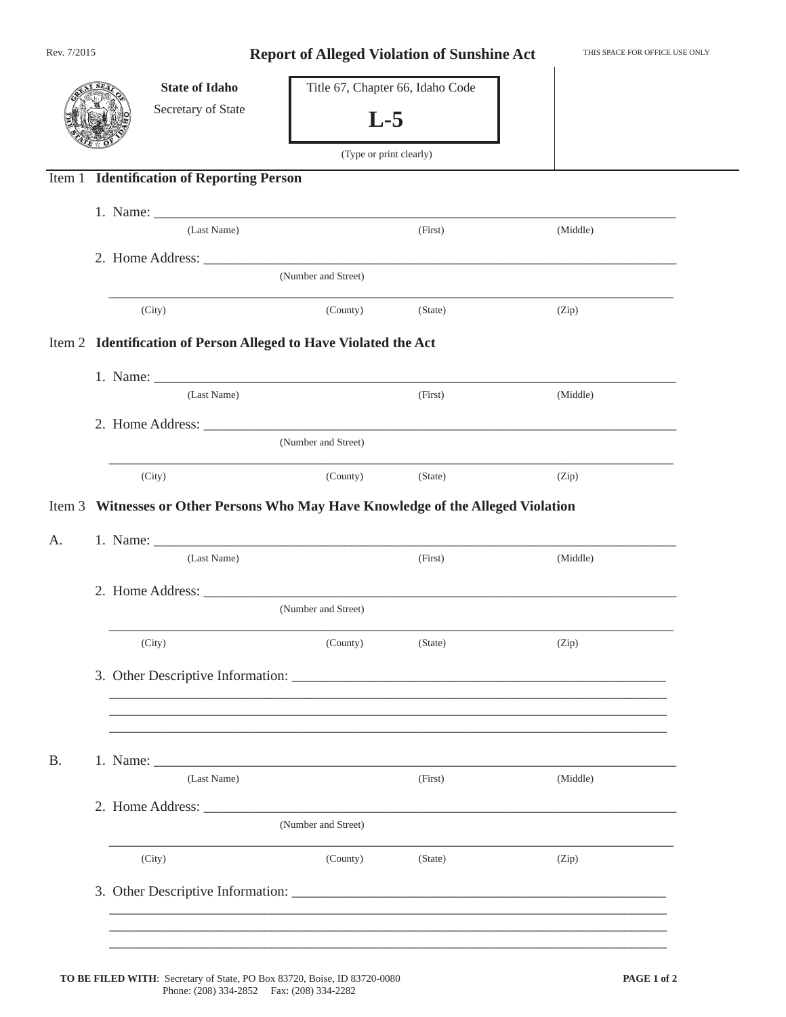| Rev. 7/2015 |                     |                                                                                   | <b>Report of Alleged Violation of Sunshine Act</b> |         |          |  |  |  |  |
|-------------|---------------------|-----------------------------------------------------------------------------------|----------------------------------------------------|---------|----------|--|--|--|--|
|             |                     | <b>State of Idaho</b><br>Secretary of State                                       | Title 67, Chapter 66, Idaho Code<br>$L-5$          |         |          |  |  |  |  |
|             |                     | <b>Identification of Reporting Person</b>                                         | (Type or print clearly)                            |         |          |  |  |  |  |
| Item 1      |                     |                                                                                   |                                                    |         |          |  |  |  |  |
|             |                     | (Last Name)                                                                       |                                                    | (First) | (Middle) |  |  |  |  |
|             |                     |                                                                                   |                                                    |         |          |  |  |  |  |
|             |                     | (Number and Street)                                                               |                                                    |         |          |  |  |  |  |
|             |                     | (City)                                                                            | (County)                                           | (State) | (Zip)    |  |  |  |  |
|             |                     | Item 2 Identification of Person Alleged to Have Violated the Act                  |                                                    |         |          |  |  |  |  |
|             |                     |                                                                                   |                                                    |         |          |  |  |  |  |
|             |                     | (Last Name)                                                                       |                                                    | (First) | (Middle) |  |  |  |  |
|             |                     |                                                                                   |                                                    |         |          |  |  |  |  |
|             |                     |                                                                                   | (Number and Street)                                |         |          |  |  |  |  |
|             |                     | (City)                                                                            | (County)                                           | (State) | (Zip)    |  |  |  |  |
|             |                     | Item 3 Witnesses or Other Persons Who May Have Knowledge of the Alleged Violation |                                                    |         |          |  |  |  |  |
|             |                     |                                                                                   |                                                    |         |          |  |  |  |  |
| A.          |                     | (Last Name)                                                                       |                                                    | (First) | (Middle) |  |  |  |  |
|             |                     |                                                                                   |                                                    |         |          |  |  |  |  |
|             | (Number and Street) |                                                                                   |                                                    |         |          |  |  |  |  |
|             |                     | (City)                                                                            | (County)                                           | (State) | (Zip)    |  |  |  |  |
|             |                     |                                                                                   |                                                    |         |          |  |  |  |  |
|             |                     |                                                                                   |                                                    |         |          |  |  |  |  |
|             |                     |                                                                                   |                                                    |         |          |  |  |  |  |
| <b>B.</b>   |                     |                                                                                   |                                                    |         |          |  |  |  |  |
|             |                     | (Last Name)                                                                       |                                                    | (First) | (Middle) |  |  |  |  |
|             |                     |                                                                                   |                                                    |         |          |  |  |  |  |
|             | (Number and Street) |                                                                                   |                                                    |         |          |  |  |  |  |
|             |                     | (City)                                                                            | (County)                                           | (State) | (Zip)    |  |  |  |  |
|             |                     |                                                                                   |                                                    |         |          |  |  |  |  |
|             |                     |                                                                                   |                                                    |         |          |  |  |  |  |
|             |                     |                                                                                   |                                                    |         |          |  |  |  |  |
|             |                     |                                                                                   |                                                    |         |          |  |  |  |  |